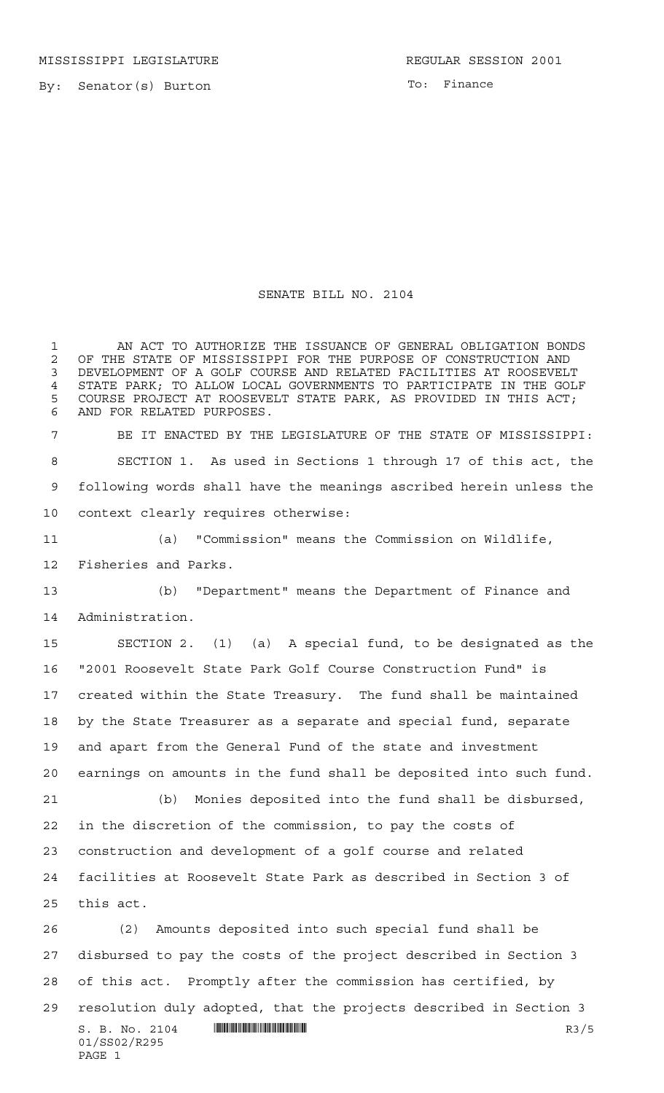MISSISSIPPI LEGISLATURE **REGULAR SESSION 2001** 

By: Senator(s) Burton

To: Finance

## SENATE BILL NO. 2104

 $S. B. No. 2104$   $\blacksquare$   $\blacksquare$   $\blacksquare$   $\blacksquare$   $\blacksquare$   $\blacksquare$   $\blacksquare$   $\blacksquare$   $\blacksquare$   $\blacksquare$   $\blacksquare$   $\blacksquare$   $\blacksquare$   $\blacksquare$   $\blacksquare$   $\blacksquare$   $\blacksquare$   $\blacksquare$   $\blacksquare$   $\blacksquare$   $\blacksquare$   $\blacksquare$   $\blacksquare$   $\blacksquare$   $\blacksquare$   $\blacksquare$   $\blacksquare$   $\blacksquare$   $\blacksquare$   $\blacks$ 01/SS02/R295 PAGE 1 AN ACT TO AUTHORIZE THE ISSUANCE OF GENERAL OBLIGATION BONDS 2 OF THE STATE OF MISSISSIPPI FOR THE PURPOSE OF CONSTRUCTION AND<br>3 DEVELOPMENT OF A GOLF COURSE AND RELATED FACILITIES AT ROOSEVELT DEVELOPMENT OF A GOLF COURSE AND RELATED FACILITIES AT ROOSEVELT STATE PARK; TO ALLOW LOCAL GOVERNMENTS TO PARTICIPATE IN THE GOLF COURSE PROJECT AT ROOSEVELT STATE PARK, AS PROVIDED IN THIS ACT; AND FOR RELATED PURPOSES. BE IT ENACTED BY THE LEGISLATURE OF THE STATE OF MISSISSIPPI: SECTION 1. As used in Sections 1 through 17 of this act, the following words shall have the meanings ascribed herein unless the context clearly requires otherwise: (a) "Commission" means the Commission on Wildlife, Fisheries and Parks. (b) "Department" means the Department of Finance and Administration. SECTION 2. (1) (a) A special fund, to be designated as the "2001 Roosevelt State Park Golf Course Construction Fund" is created within the State Treasury. The fund shall be maintained by the State Treasurer as a separate and special fund, separate and apart from the General Fund of the state and investment earnings on amounts in the fund shall be deposited into such fund. (b) Monies deposited into the fund shall be disbursed, in the discretion of the commission, to pay the costs of construction and development of a golf course and related facilities at Roosevelt State Park as described in Section 3 of this act. (2) Amounts deposited into such special fund shall be disbursed to pay the costs of the project described in Section 3 of this act. Promptly after the commission has certified, by resolution duly adopted, that the projects described in Section 3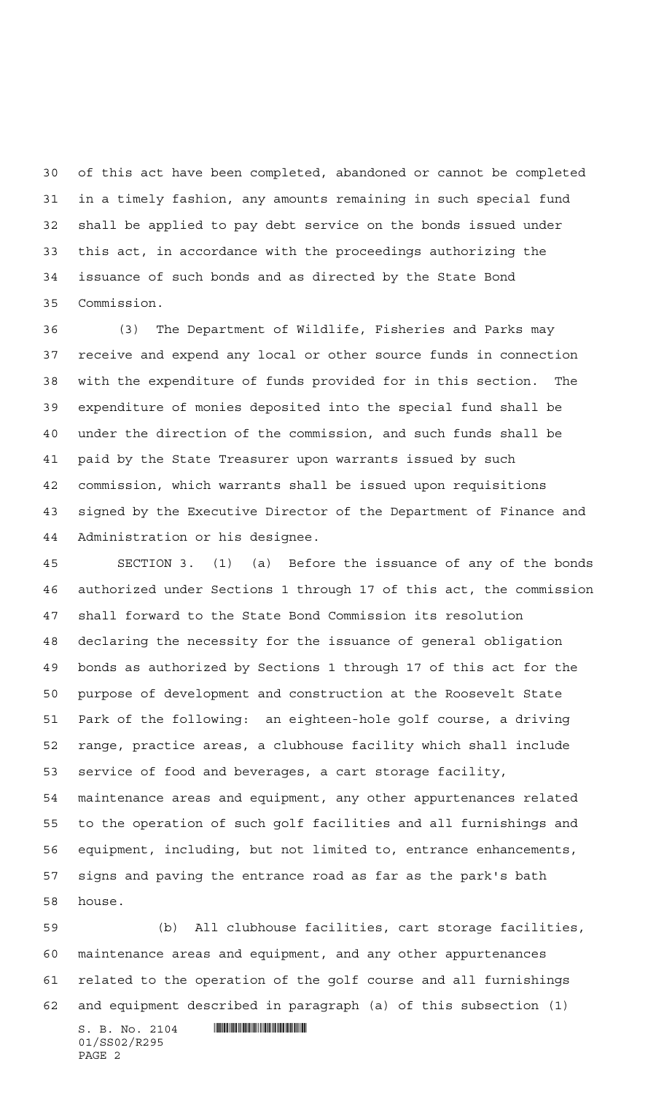of this act have been completed, abandoned or cannot be completed in a timely fashion, any amounts remaining in such special fund shall be applied to pay debt service on the bonds issued under this act, in accordance with the proceedings authorizing the issuance of such bonds and as directed by the State Bond Commission.

 (3) The Department of Wildlife, Fisheries and Parks may receive and expend any local or other source funds in connection with the expenditure of funds provided for in this section. The expenditure of monies deposited into the special fund shall be under the direction of the commission, and such funds shall be paid by the State Treasurer upon warrants issued by such commission, which warrants shall be issued upon requisitions signed by the Executive Director of the Department of Finance and Administration or his designee.

 SECTION 3. (1) (a) Before the issuance of any of the bonds authorized under Sections 1 through 17 of this act, the commission shall forward to the State Bond Commission its resolution declaring the necessity for the issuance of general obligation bonds as authorized by Sections 1 through 17 of this act for the purpose of development and construction at the Roosevelt State Park of the following: an eighteen-hole golf course, a driving range, practice areas, a clubhouse facility which shall include service of food and beverages, a cart storage facility, maintenance areas and equipment, any other appurtenances related to the operation of such golf facilities and all furnishings and equipment, including, but not limited to, entrance enhancements, signs and paving the entrance road as far as the park's bath house.

 (b) All clubhouse facilities, cart storage facilities, maintenance areas and equipment, and any other appurtenances related to the operation of the golf course and all furnishings and equipment described in paragraph (a) of this subsection (1)

 $S. B. No. 2104$  . We say the set of  $S. B. N_O. 2104$ 01/SS02/R295 PAGE 2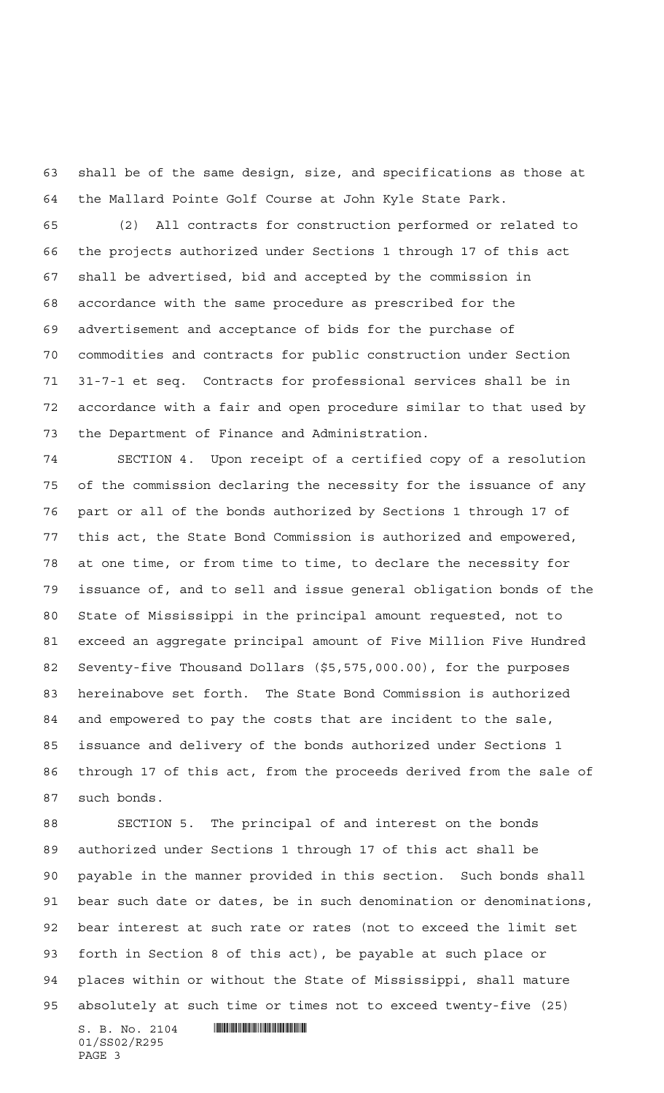shall be of the same design, size, and specifications as those at the Mallard Pointe Golf Course at John Kyle State Park.

 (2) All contracts for construction performed or related to the projects authorized under Sections 1 through 17 of this act shall be advertised, bid and accepted by the commission in accordance with the same procedure as prescribed for the advertisement and acceptance of bids for the purchase of commodities and contracts for public construction under Section 31-7-1 et seq. Contracts for professional services shall be in accordance with a fair and open procedure similar to that used by the Department of Finance and Administration.

 SECTION 4. Upon receipt of a certified copy of a resolution of the commission declaring the necessity for the issuance of any part or all of the bonds authorized by Sections 1 through 17 of this act, the State Bond Commission is authorized and empowered, at one time, or from time to time, to declare the necessity for issuance of, and to sell and issue general obligation bonds of the State of Mississippi in the principal amount requested, not to exceed an aggregate principal amount of Five Million Five Hundred Seventy-five Thousand Dollars (\$5,575,000.00), for the purposes hereinabove set forth. The State Bond Commission is authorized and empowered to pay the costs that are incident to the sale, issuance and delivery of the bonds authorized under Sections 1 through 17 of this act, from the proceeds derived from the sale of such bonds.

 SECTION 5. The principal of and interest on the bonds authorized under Sections 1 through 17 of this act shall be payable in the manner provided in this section. Such bonds shall bear such date or dates, be in such denomination or denominations, bear interest at such rate or rates (not to exceed the limit set forth in Section 8 of this act), be payable at such place or places within or without the State of Mississippi, shall mature absolutely at such time or times not to exceed twenty-five (25)

 $S. B. No. 2104$  . Suppose the set of  $\sim$ 01/SS02/R295 PAGE 3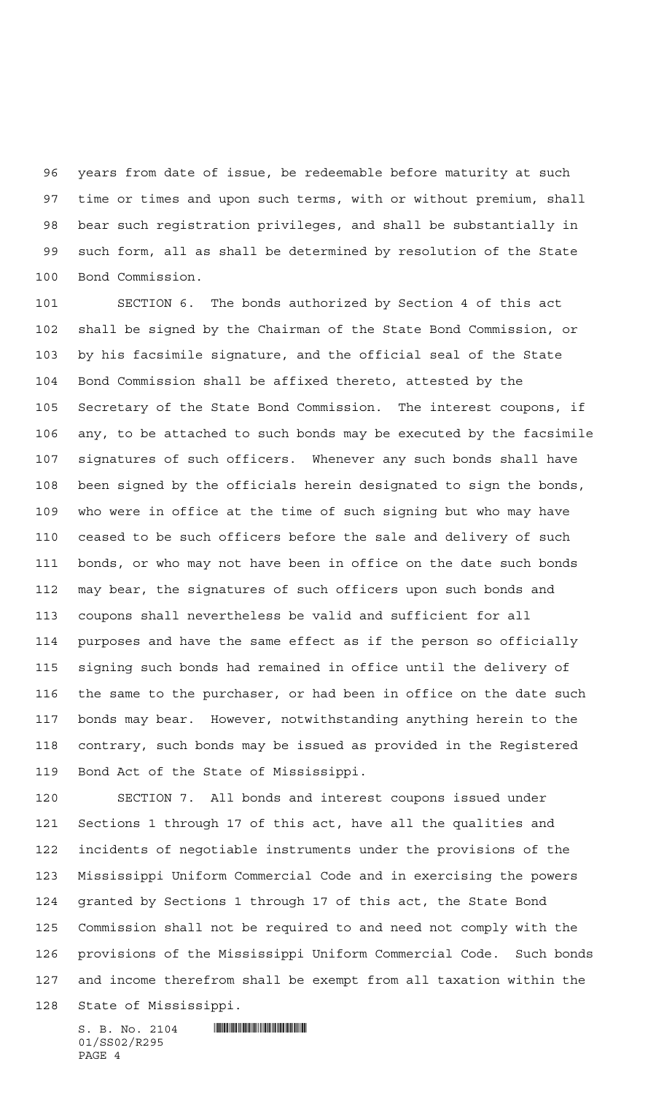years from date of issue, be redeemable before maturity at such time or times and upon such terms, with or without premium, shall bear such registration privileges, and shall be substantially in such form, all as shall be determined by resolution of the State Bond Commission.

 SECTION 6. The bonds authorized by Section 4 of this act shall be signed by the Chairman of the State Bond Commission, or by his facsimile signature, and the official seal of the State Bond Commission shall be affixed thereto, attested by the Secretary of the State Bond Commission. The interest coupons, if any, to be attached to such bonds may be executed by the facsimile signatures of such officers. Whenever any such bonds shall have been signed by the officials herein designated to sign the bonds, who were in office at the time of such signing but who may have ceased to be such officers before the sale and delivery of such bonds, or who may not have been in office on the date such bonds may bear, the signatures of such officers upon such bonds and coupons shall nevertheless be valid and sufficient for all purposes and have the same effect as if the person so officially signing such bonds had remained in office until the delivery of the same to the purchaser, or had been in office on the date such bonds may bear. However, notwithstanding anything herein to the contrary, such bonds may be issued as provided in the Registered Bond Act of the State of Mississippi.

 SECTION 7. All bonds and interest coupons issued under Sections 1 through 17 of this act, have all the qualities and incidents of negotiable instruments under the provisions of the Mississippi Uniform Commercial Code and in exercising the powers granted by Sections 1 through 17 of this act, the State Bond Commission shall not be required to and need not comply with the provisions of the Mississippi Uniform Commercial Code. Such bonds and income therefrom shall be exempt from all taxation within the State of Mississippi.

 $S. B. No. 2104$  . Will constrain the set of  $S. B. N_{\odot}$ 01/SS02/R295 PAGE 4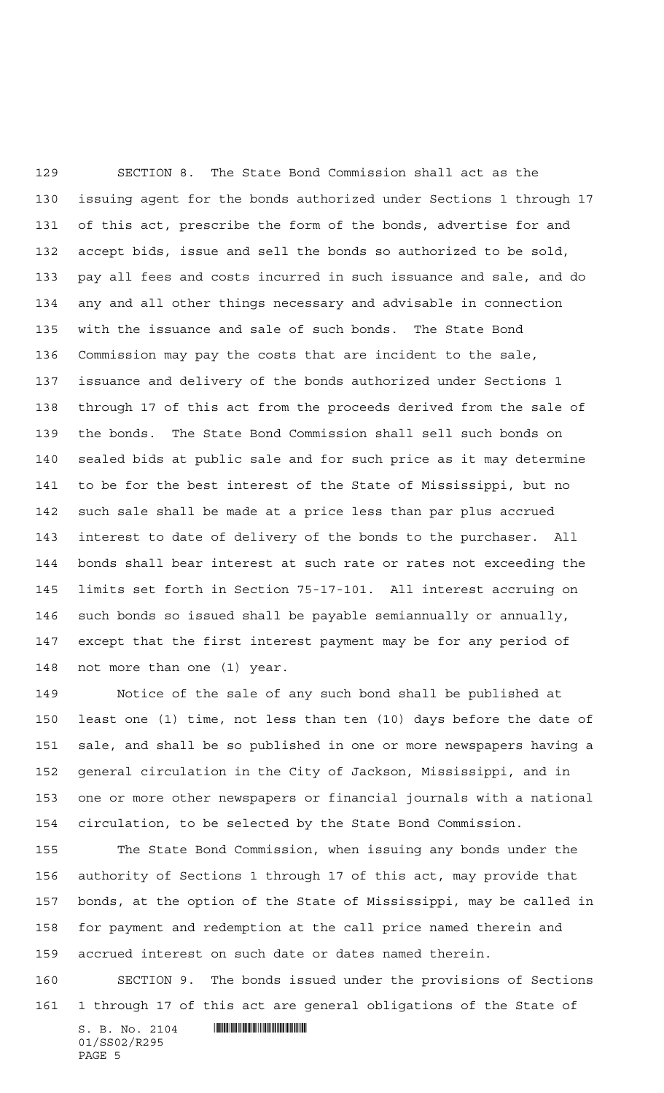SECTION 8. The State Bond Commission shall act as the issuing agent for the bonds authorized under Sections 1 through 17 of this act, prescribe the form of the bonds, advertise for and accept bids, issue and sell the bonds so authorized to be sold, pay all fees and costs incurred in such issuance and sale, and do any and all other things necessary and advisable in connection with the issuance and sale of such bonds. The State Bond Commission may pay the costs that are incident to the sale, issuance and delivery of the bonds authorized under Sections 1 through 17 of this act from the proceeds derived from the sale of the bonds. The State Bond Commission shall sell such bonds on sealed bids at public sale and for such price as it may determine to be for the best interest of the State of Mississippi, but no such sale shall be made at a price less than par plus accrued interest to date of delivery of the bonds to the purchaser. All bonds shall bear interest at such rate or rates not exceeding the limits set forth in Section 75-17-101. All interest accruing on such bonds so issued shall be payable semiannually or annually, except that the first interest payment may be for any period of not more than one (1) year.

 Notice of the sale of any such bond shall be published at least one (1) time, not less than ten (10) days before the date of sale, and shall be so published in one or more newspapers having a general circulation in the City of Jackson, Mississippi, and in one or more other newspapers or financial journals with a national circulation, to be selected by the State Bond Commission.

 The State Bond Commission, when issuing any bonds under the authority of Sections 1 through 17 of this act, may provide that bonds, at the option of the State of Mississippi, may be called in for payment and redemption at the call price named therein and accrued interest on such date or dates named therein.

 SECTION 9. The bonds issued under the provisions of Sections 1 through 17 of this act are general obligations of the State of

 $S. B. No. 2104$  . Suppose the set of  $\sim$ 01/SS02/R295 PAGE 5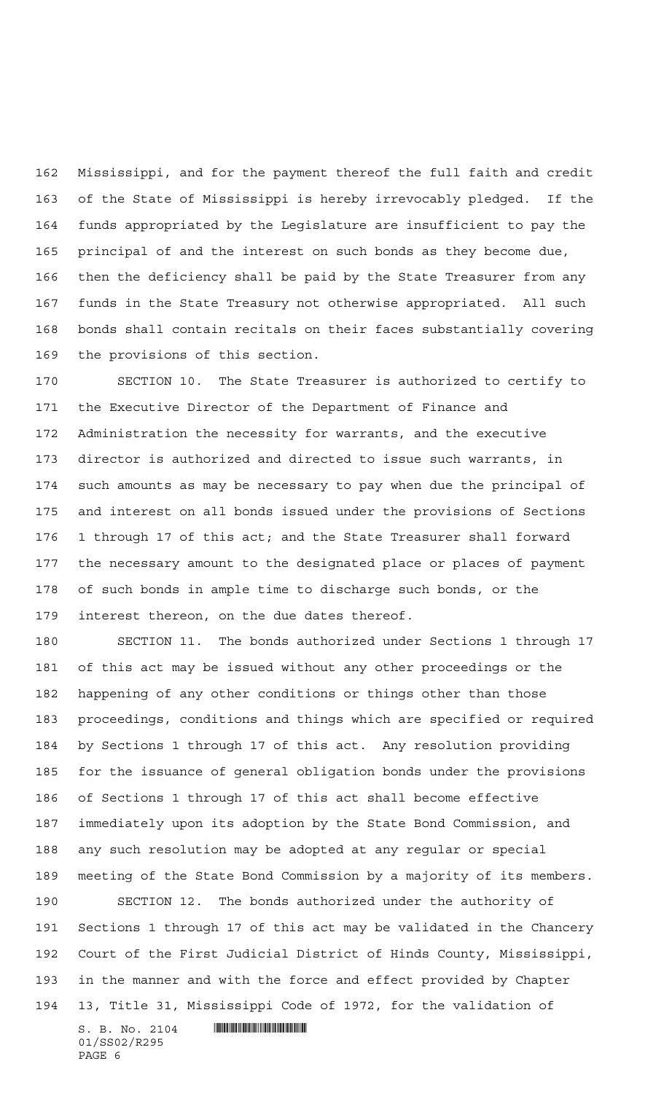Mississippi, and for the payment thereof the full faith and credit of the State of Mississippi is hereby irrevocably pledged. If the funds appropriated by the Legislature are insufficient to pay the principal of and the interest on such bonds as they become due, then the deficiency shall be paid by the State Treasurer from any funds in the State Treasury not otherwise appropriated. All such bonds shall contain recitals on their faces substantially covering the provisions of this section.

 SECTION 10. The State Treasurer is authorized to certify to the Executive Director of the Department of Finance and Administration the necessity for warrants, and the executive director is authorized and directed to issue such warrants, in such amounts as may be necessary to pay when due the principal of and interest on all bonds issued under the provisions of Sections 1 through 17 of this act; and the State Treasurer shall forward the necessary amount to the designated place or places of payment of such bonds in ample time to discharge such bonds, or the interest thereon, on the due dates thereof.

 SECTION 11. The bonds authorized under Sections 1 through 17 of this act may be issued without any other proceedings or the happening of any other conditions or things other than those proceedings, conditions and things which are specified or required by Sections 1 through 17 of this act. Any resolution providing for the issuance of general obligation bonds under the provisions of Sections 1 through 17 of this act shall become effective immediately upon its adoption by the State Bond Commission, and any such resolution may be adopted at any regular or special meeting of the State Bond Commission by a majority of its members.

 SECTION 12. The bonds authorized under the authority of Sections 1 through 17 of this act may be validated in the Chancery Court of the First Judicial District of Hinds County, Mississippi, in the manner and with the force and effect provided by Chapter 13, Title 31, Mississippi Code of 1972, for the validation of

 $S. B. No. 2104$  . We say the set of  $S. B. N_O. 2104$ 01/SS02/R295 PAGE 6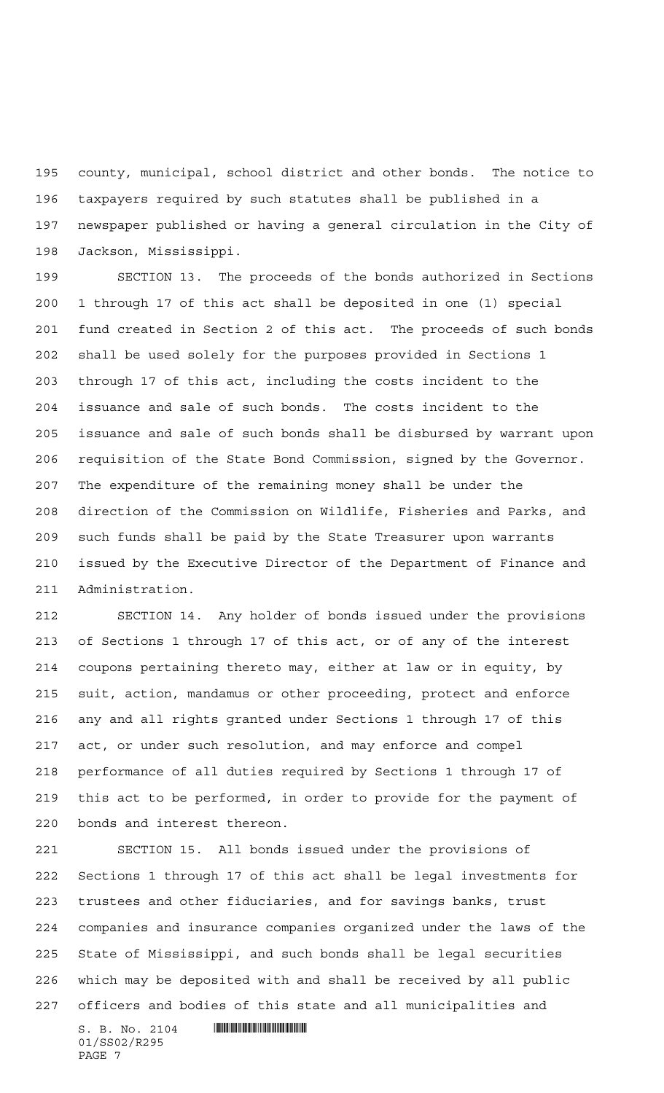county, municipal, school district and other bonds. The notice to taxpayers required by such statutes shall be published in a newspaper published or having a general circulation in the City of Jackson, Mississippi.

 SECTION 13. The proceeds of the bonds authorized in Sections 1 through 17 of this act shall be deposited in one (1) special fund created in Section 2 of this act. The proceeds of such bonds shall be used solely for the purposes provided in Sections 1 through 17 of this act, including the costs incident to the issuance and sale of such bonds. The costs incident to the issuance and sale of such bonds shall be disbursed by warrant upon requisition of the State Bond Commission, signed by the Governor. The expenditure of the remaining money shall be under the direction of the Commission on Wildlife, Fisheries and Parks, and such funds shall be paid by the State Treasurer upon warrants issued by the Executive Director of the Department of Finance and Administration.

 SECTION 14. Any holder of bonds issued under the provisions of Sections 1 through 17 of this act, or of any of the interest coupons pertaining thereto may, either at law or in equity, by suit, action, mandamus or other proceeding, protect and enforce any and all rights granted under Sections 1 through 17 of this act, or under such resolution, and may enforce and compel performance of all duties required by Sections 1 through 17 of this act to be performed, in order to provide for the payment of bonds and interest thereon.

 SECTION 15. All bonds issued under the provisions of Sections 1 through 17 of this act shall be legal investments for trustees and other fiduciaries, and for savings banks, trust companies and insurance companies organized under the laws of the State of Mississippi, and such bonds shall be legal securities which may be deposited with and shall be received by all public officers and bodies of this state and all municipalities and

 $S. B. No. 2104$  . Suppose the set of  $\sim$ 01/SS02/R295 PAGE 7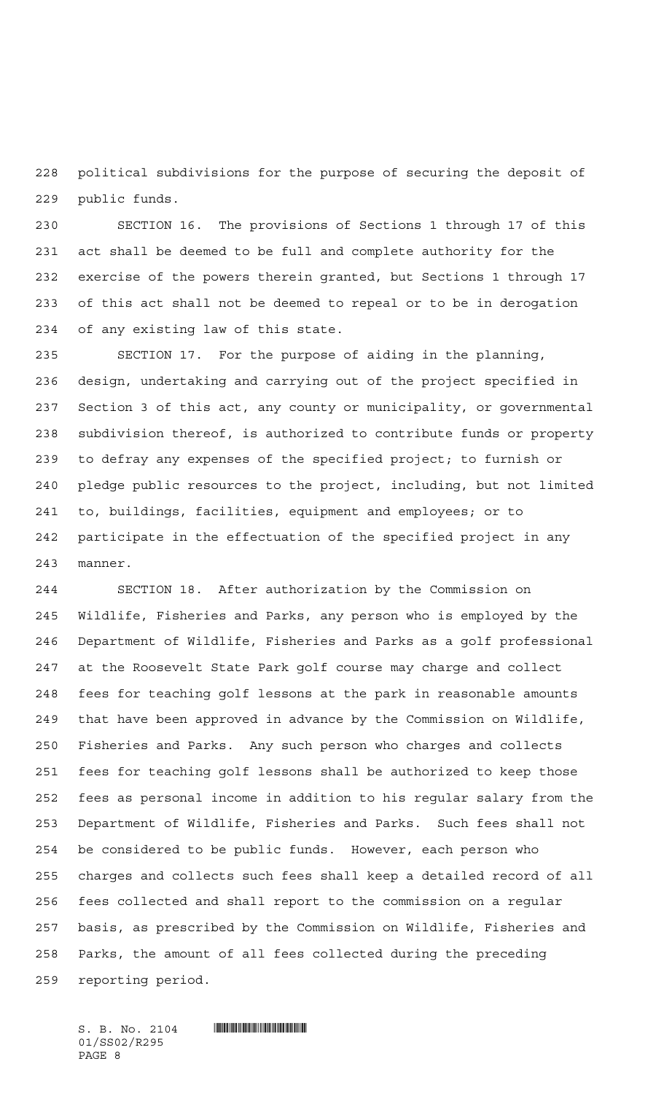political subdivisions for the purpose of securing the deposit of public funds.

 SECTION 16. The provisions of Sections 1 through 17 of this act shall be deemed to be full and complete authority for the exercise of the powers therein granted, but Sections 1 through 17 of this act shall not be deemed to repeal or to be in derogation of any existing law of this state.

 SECTION 17. For the purpose of aiding in the planning, design, undertaking and carrying out of the project specified in Section 3 of this act, any county or municipality, or governmental subdivision thereof, is authorized to contribute funds or property to defray any expenses of the specified project; to furnish or pledge public resources to the project, including, but not limited to, buildings, facilities, equipment and employees; or to participate in the effectuation of the specified project in any manner.

 SECTION 18. After authorization by the Commission on Wildlife, Fisheries and Parks, any person who is employed by the Department of Wildlife, Fisheries and Parks as a golf professional at the Roosevelt State Park golf course may charge and collect fees for teaching golf lessons at the park in reasonable amounts that have been approved in advance by the Commission on Wildlife, Fisheries and Parks. Any such person who charges and collects fees for teaching golf lessons shall be authorized to keep those fees as personal income in addition to his regular salary from the Department of Wildlife, Fisheries and Parks. Such fees shall not be considered to be public funds. However, each person who charges and collects such fees shall keep a detailed record of all fees collected and shall report to the commission on a regular basis, as prescribed by the Commission on Wildlife, Fisheries and Parks, the amount of all fees collected during the preceding reporting period.

 $S. B. No. 2104$  . Will constrain the set of  $S. B. N_{\odot}$ 01/SS02/R295 PAGE 8